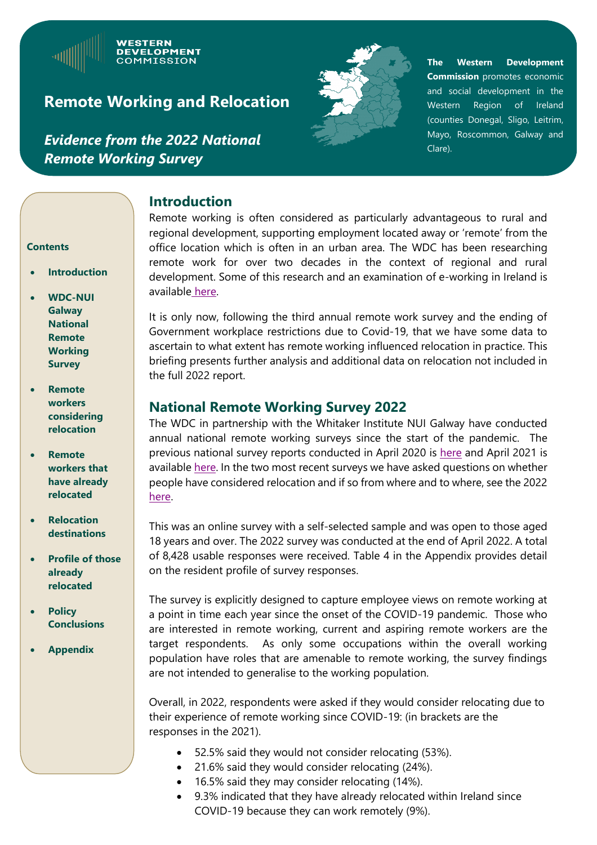*Evidence from the 2022 National Remote Working Survey*

**WESTERN DEVELOPMENT COMMISSION** 



**The Western Development Commission** promotes economic and social development in the Western Region of Ireland (counties Donegal, Sligo, Leitrim, Mayo, Roscommon, Galway and Clare).

#### **Introduction**

Remote working is often considered as particularly advantageous to rural and regional development, supporting employment located away or 'remote' from the office location which is often in an urban area. The WDC has been researching remote work for over two decades in the context of regional and rural development. Some of this research and an examination of e-working in Ireland is available [here.](https://westerndevelopment.ie/wp-content/uploads/2020/09/WDC_Policy-Briefing-no-7.pdf?dl=1)

It is only now, following the third annual remote work survey and the ending of Government workplace restrictions due to Covid-19, that we have some data to ascertain to what extent has remote working influenced relocation in practice. This briefing presents further analysis and additional data on relocation not included in the full 2022 report.

## **National Remote Working Survey 2022**

The WDC in partnership with the Whitaker Institute NUI Galway have conducted annual national remote working surveys since the start of the pandemic. The previous national survey reports conducted in April 2020 is [here](https://westerndevelopment.ie/wp-content/uploads/2020/07/Remote-Working-National-Survey-Report-May-2020-final.pdf?dl=1) and April 2021 is available [here.](https://westerndevelopment.ie/wp-content/uploads/2021/05/Remote-Working-National-Survey-Phase-III-Report-final.pdf?dl=1) In the two most recent surveys we have asked questions on whether people have considered relocation and if so from where and to where, see the 2022 [here.](https://westerndevelopment.ie/wp-content/uploads/2022/05/Remote-Working-Survey-Report-2022-1.pdf)

This was an online survey with a self-selected sample and was open to those aged 18 years and over. The 2022 survey was conducted at the end of April 2022. A total of 8,428 usable responses were received. Table 4 in the Appendix provides detail on the resident profile of survey responses.

The survey is explicitly designed to capture employee views on remote working at a point in time each year since the onset of the COVID-19 pandemic. Those who are interested in remote working, current and aspiring remote workers are the target respondents. As only some occupations within the overall working population have roles that are amenable to remote working, the survey findings are not intended to generalise to the working population.

` Overall, in 2022, respondents were asked if they would consider relocating due to their experience of remote working since COVID-19: (in brackets are the responses in the 2021).

- 52.5% said they would not consider relocating (53%).
- 21.6% said they would consider relocating (24%).
- 16.5% said they may consider relocating (14%).
- 9.3% indicated that they have already relocated within Ireland since COVID-19 because they can work remotely (9%).

#### **Contents**

- **Introduction**
- **WDC-NUI Galway National Remote Working Survey**
- **Remote workers considering relocation**
- **Remote workers that have already relocated**
- **Relocation destinations**
- **Profile of those already relocated**
- **Policy Conclusions**
- **Appendix**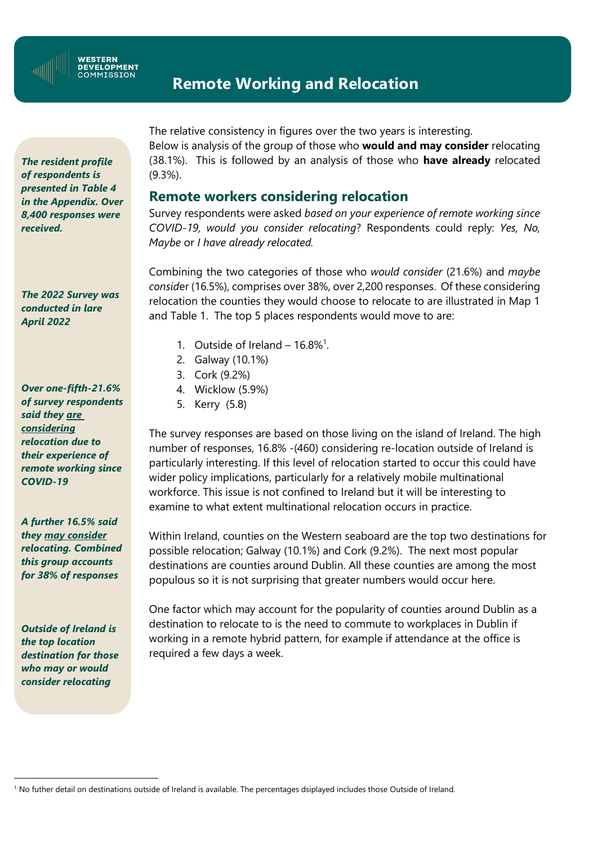

#### **WESTERN DEVELOPMENT** COMMISSION

# **Remote Working and Relocation**

*The resident profile of respondents is presented in Table 4 in the Appendix. Over 8,400 responses were received.*

*The 2022 Survey was conducted in lare April 2022*

*Over one-fifth-21.6% of survey respondents said they are considering relocation due to their experience of remote working since COVID-19*

*A further 16.5% said they may consider relocating. Combined this group accounts for 38% of responses*

*Outside of Ireland is the top location destination for those who may or would consider relocating*

The relative consistency in figures over the two years is interesting. Below is analysis of the group of those who **would and may consider** relocating (38.1%). This is followed by an analysis of those who **have already** relocated (9.3%).

### **Remote workers considering relocation**

Survey respondents were asked *based on your experience of remote working since COVID-19, would you consider relocating*? Respondents could reply: *Yes, No, Maybe* or *I have already relocated.*

Combining the two categories of those who *would consider* (21.6%) and *maybe consid*er (16.5%), comprises over 38%, over 2,200 responses. Of these considering relocation the counties they would choose to relocate to are illustrated in Map 1 and Table 1. The top 5 places respondents would move to are:

- 1. Outside of Ireland  $-16.8\%$ <sup>1</sup>.
- 2. Galway (10.1%)
- 3. Cork (9.2%)
- 4. Wicklow (5.9%)
- 5. Kerry (5.8)

The survey responses are based on those living on the island of Ireland. The high number of responses, 16.8% -(460) considering re-location outside of Ireland is particularly interesting. If this level of relocation started to occur this could have wider policy implications, particularly for a relatively mobile multinational workforce. This issue is not confined to Ireland but it will be interesting to examine to what extent multinational relocation occurs in practice.

Within Ireland, counties on the Western seaboard are the top two destinations for possible relocation; Galway (10.1%) and Cork (9.2%). The next most popular destinations are counties around Dublin. All these counties are among the most populous so it is not surprising that greater numbers would occur here.

One factor which may account for the popularity of counties around Dublin as a destination to relocate to is the need to commute to workplaces in Dublin if working in a remote hybrid pattern, for example if attendance at the office is required a few days a week.

<sup>1</sup> No futher detail on destinations outside of Ireland is available. The percentages dsiplayed includes those Outside of Ireland.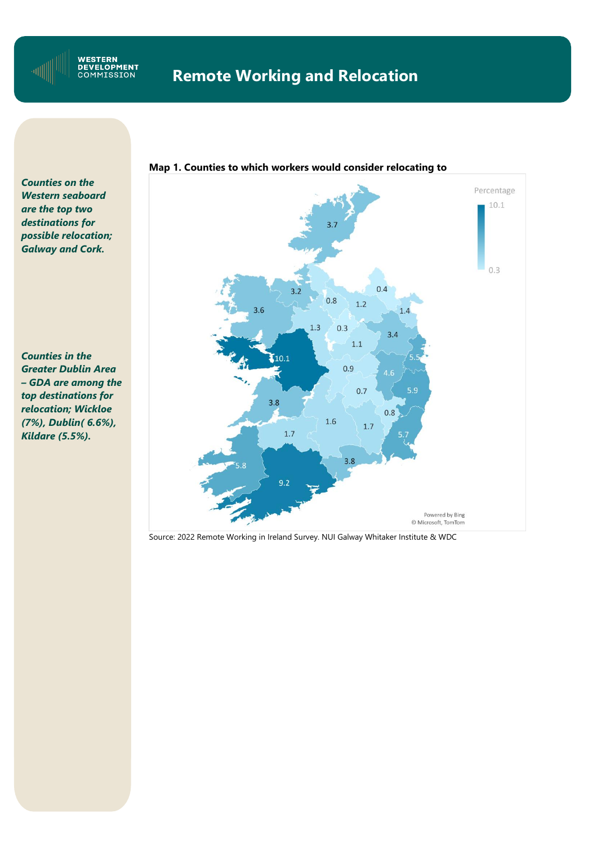

*Counties on the are the top two Western seaboard destinations for are the top two possible relocation; destinations for Galway and Cork. Counties on the Western seaboard* 

*Counties in the – GDA are among the Greater Dublin Area top destinations for – GDA are among the relocation; Wickloe top destinations for (7%), Dublin( 6.6%), relocation; Wicklow Kildare (5.5%).Counties in the Greater Dublin Area* 



Source: 2022 Remote Working in Ireland Survey. NUI Galway Whitaker Institute & WDC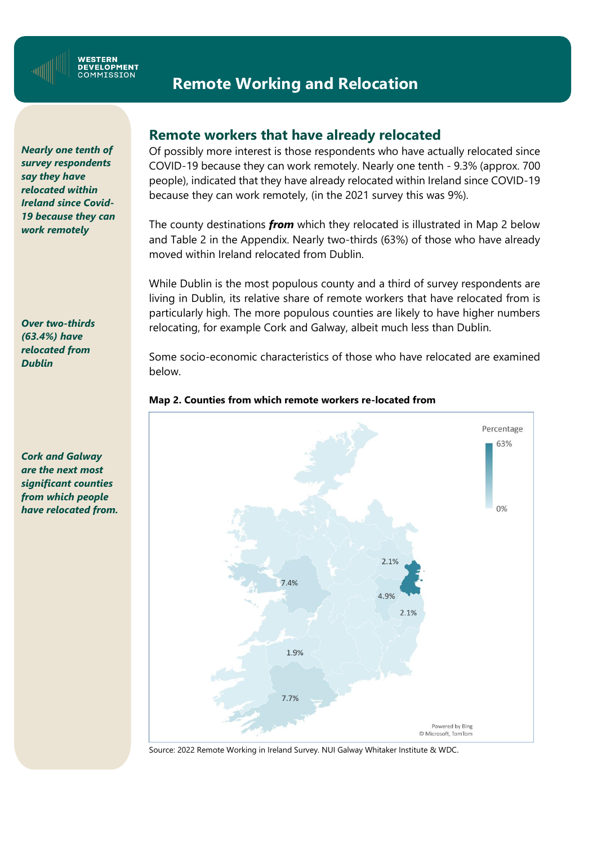

#### **WESTERN DEVELOPMENT** COMMISSION

## **Remote Working and Relocation**

*Counties on the survey respondents Western seaboard relocated within are the top two Ireland since Coviddestinations for 19 because they can Galway and Cork. work remotely Nearly one tenth of say they have* 

*Counties in the relocated from*  $\overline{\phantom{a}}$ *– GDA are among the Over two-thirds (63.4%) have Dublin*

*Cork and Galway are the next most significant counties from which people have relocated from.*

## **Remote workers that have already relocated**

Of possibly more interest is those respondents who have actually relocated since COVID-19 because they can work remotely. Nearly one tenth - 9.3% (approx. 700 people), indicated that they have already relocated within Ireland since COVID-19 because they can work remotely, (in the 2021 survey this was 9%).

The county destinations *from* which they relocated is illustrated in Map 2 below and Table 2 in the Appendix. Nearly two-thirds (63%) of those who have already moved within Ireland relocated from Dublin.

While Dublin is the most populous county and a third of survey respondents are living in Dublin, its relative share of remote workers that have relocated from is particularly high. The more populous counties are likely to have higher numbers relocating, for example Cork and Galway, albeit much less than Dublin.

Some socio-economic characteristics of those who have relocated are examined below.





Source: 2022 Remote Working in Ireland Survey. NUI Galway Whitaker Institute & WDC.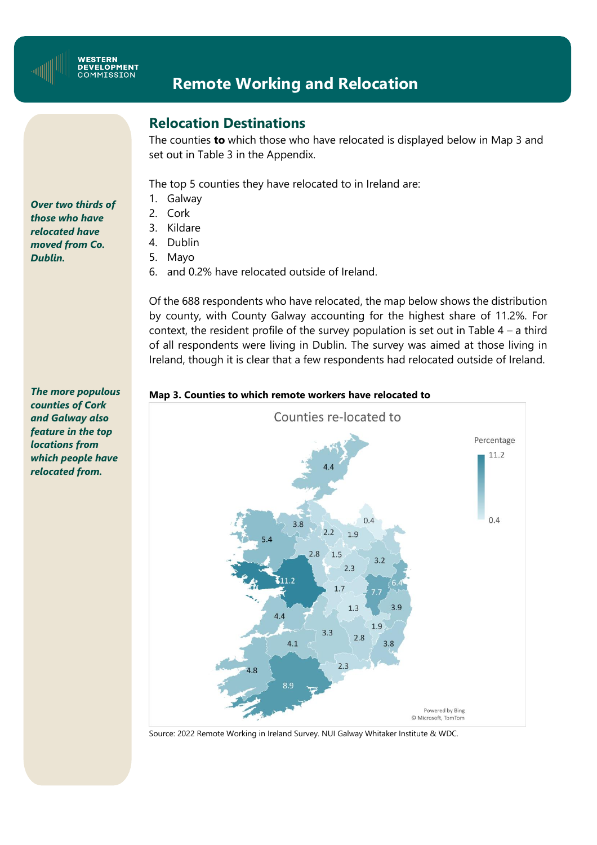

## **Relocation Destinations**

The counties **to** which those who have relocated is displayed below in Map 3 and set out in Table 3 in the Appendix.

The top 5 counties they have relocated to in Ireland are:

- 1. Galway
- 2. Cork
- 3. Kildare
- 4. Dublin
- 5. Mayo
- 6. and 0.2% have relocated outside of Ireland.

Of the 688 respondents who have relocated, the map below shows the distribution by county, with County Galway accounting for the highest share of 11.2%. For context, the resident profile of the survey population is set out in Table  $4 - a$  third of all respondents were living in Dublin. The survey was aimed at those living in Ireland, though it is clear that a few respondents had relocated outside of Ireland.

#### **Map 3. Counties to which remote workers have relocated to**e



Source: 2022 Remote Working in Ireland Survey. NUI Galway Whitaker Institute & WDC.

*Over two thirds of those who have relocated have moved from Co. Dublin.*

*The more populous counties of Cork and Galway also feature in the top locations from which people have relocated from.*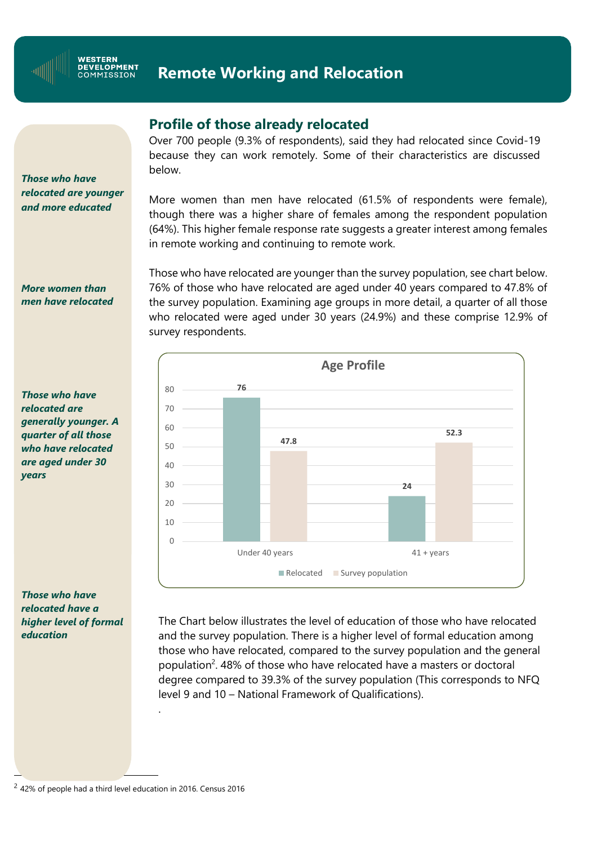

#### **Profile of those already relocated**

Over 700 people (9.3% of respondents), said they had relocated since Covid-19 because they can work remotely. Some of their characteristics are discussed below.

More women than men have relocated (61.5% of respondents were female), though there was a higher share of females among the respondent population (64%). This higher female response rate suggests a greater interest among females in remote working and continuing to remote work.

Those who have relocated are younger than the survey population, see chart below. 76% of those who have relocated are aged under 40 years compared to 47.8% of the survey population. Examining age groups in more detail, a quarter of all those who relocated were aged under 30 years (24.9%) and these comprise 12.9% of survey respondents.



The Chart below illustrates the level of education of those who have relocated and the survey population. There is a higher level of formal education among those who have relocated, compared to the survey population and the general population<sup>2</sup>. 48% of those who have relocated have a masters or doctoral degree compared to 39.3% of the survey population (This corresponds to NFQ level 9 and 10 – National Framework of Qualifications).

*Those who have relocated are younger and more educated*

*More women than men have relocated*

*Those who have relocated are generally younger. A quarter of all those who have relocated are aged under 30 years*

*Those who have relocated have a higher level of formal education*

 $2$  42% of people had a third level education in 2016. Census 2016

.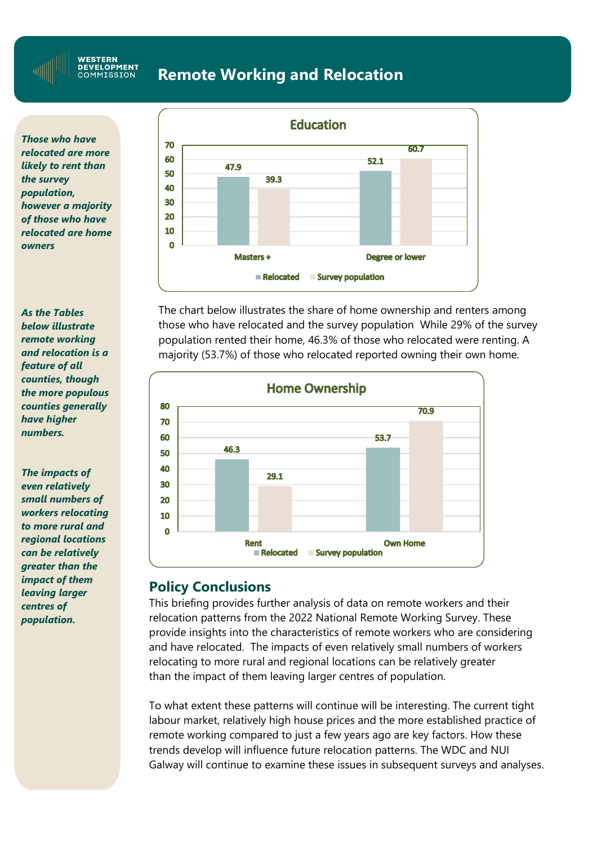**WESTERN** DEVELOPMENT<br>COMMISSION

## **Remote Working and Relocation**

*Those who have relocated are more likely to rent than the survey population, however a majority of those who have relocated are home owners*

*As the Tables below illustrate remote working and relocation is a feature of all counties, though the more populous counties generally have higher numbers.*

**Remote**  *greater than the The impacts of even relatively small numbers of workers relocating to more rural and regional locations can be relatively impact of them leaving larger centres of population.*



The chart below illustrates the share of home ownership and renters among those who have relocated and the survey population While 29% of the survey population rented their home, 46.3% of those who relocated were renting. A majority (53.7%) of those who relocated reported owning their own home.



### **Policy Conclusions**

This briefing provides further analysis of data on remote workers and their relocation patterns from the 2022 National Remote Working Survey. These provide insights into the characteristics of remote workers who are considering and have relocated. The impacts of even relatively small numbers of workers relocating to more rural and regional locations can be relatively greater than the impact of them leaving larger centres of population.

To what extent these patterns will continue will be interesting. The current tight labour market, relatively high house prices and the more established practice of remote working compared to just a few years ago are key factors. How these trends develop will influence future relocation patterns. The WDC and NUI Galway will continue to examine these issues in subsequent surveys and analyses.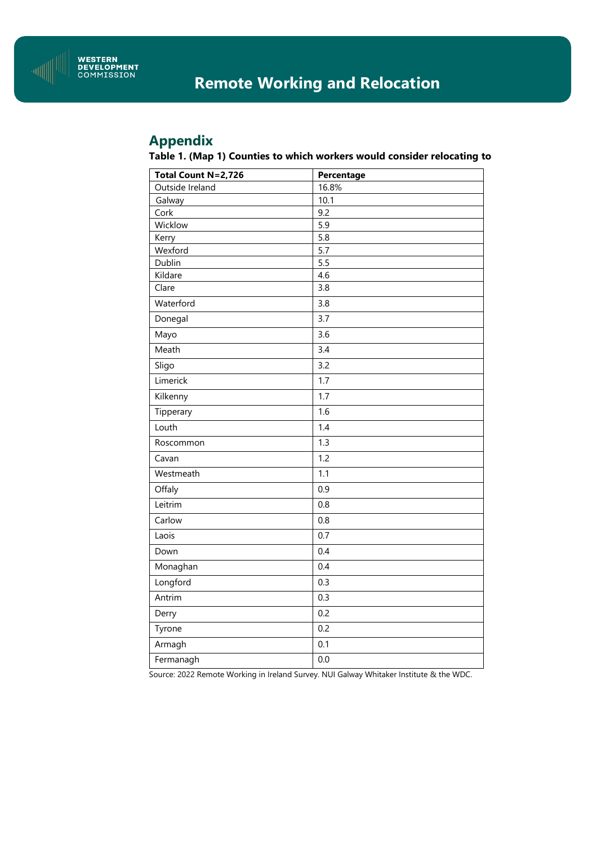

## **Appendix**

#### **Table 1. (Map 1) Counties to which workers would consider relocating to**

| Total Count N=2,726 | Percentage       |
|---------------------|------------------|
| Outside Ireland     | 16.8%            |
| Galway              | 10.1             |
| Cork                | 9.2              |
| Wicklow             | $\overline{5.9}$ |
| Kerry               | 5.8              |
| Wexford             | 5.7              |
| Dublin              | 5.5              |
| Kildare             | 4.6              |
| Clare               | 3.8              |
| Waterford           | 3.8              |
| Donegal             | 3.7              |
| Mayo                | 3.6              |
| Meath               | 3.4              |
| Sligo               | 3.2              |
| Limerick            | 1.7              |
| Kilkenny            | 1.7              |
| Tipperary           | 1.6              |
| Louth               | 1.4              |
| Roscommon           | 1.3              |
| Cavan               | 1.2              |
| Westmeath           | 1.1              |
| Offaly              | 0.9              |
| Leitrim             | 0.8              |
| Carlow              | 0.8              |
| Laois               | 0.7              |
| Down                | 0.4              |
| Monaghan            | 0.4              |
| Longford            | 0.3              |
| Antrim              | 0.3              |
| Derry               | 0.2              |
| Tyrone              | 0.2              |
| Armagh              | 0.1              |
| Fermanagh           | 0.0              |

Source: 2022 Remote Working in Ireland Survey. NUI Galway Whitaker Institute & the WDC.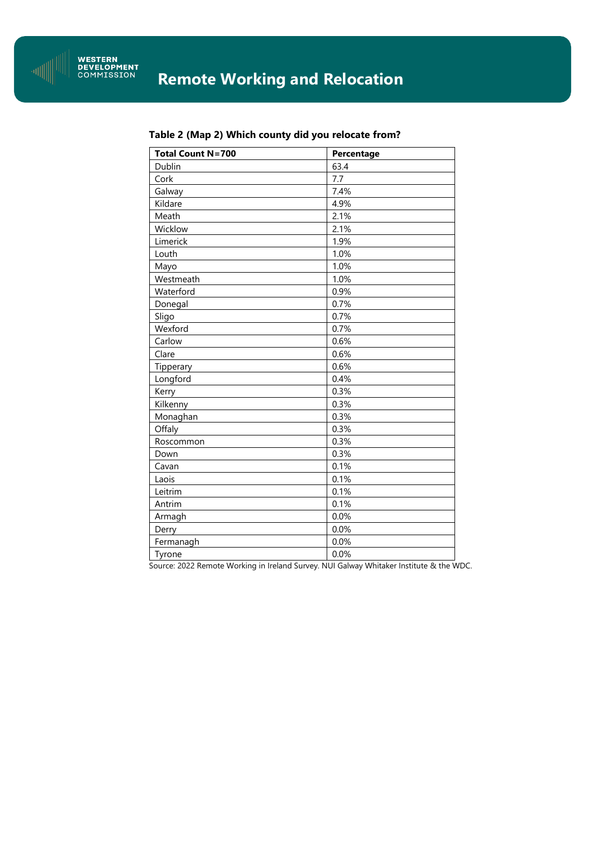

| <b>Total Count N=700</b> | Percentage |
|--------------------------|------------|
| Dublin                   | 63.4       |
| Cork                     | 7.7        |
| Galway                   | 7.4%       |
| Kildare                  | 4.9%       |
| Meath                    | 2.1%       |
| Wicklow                  | 2.1%       |
| Limerick                 | 1.9%       |
| Louth                    | 1.0%       |
| Mayo                     | 1.0%       |
| Westmeath                | 1.0%       |
| Waterford                | 0.9%       |
| Donegal                  | 0.7%       |
| Sligo                    | 0.7%       |
| Wexford                  | 0.7%       |
| Carlow                   | 0.6%       |
| Clare                    | 0.6%       |
| Tipperary                | 0.6%       |
| Longford                 | 0.4%       |
| Kerry                    | 0.3%       |
| Kilkenny                 | 0.3%       |
| Monaghan                 | 0.3%       |
| Offaly                   | 0.3%       |
| Roscommon                | 0.3%       |
| Down                     | 0.3%       |
| Cavan                    | 0.1%       |
| Laois                    | 0.1%       |
| Leitrim                  | 0.1%       |
| Antrim                   | 0.1%       |
| Armagh                   | 0.0%       |
| Derry                    | 0.0%       |
| Fermanagh                | 0.0%       |
| Tyrone                   | 0.0%       |

#### **Table 2 (Map 2) Which county did you relocate from?**

Source: 2022 Remote Working in Ireland Survey. NUI Galway Whitaker Institute & the WDC.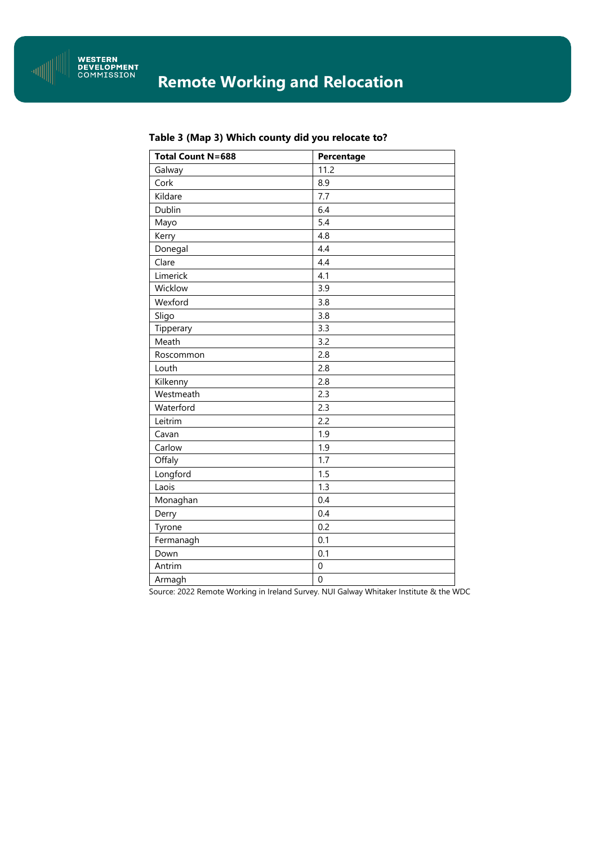

| <b>Total Count N=688</b> | Percentage       |
|--------------------------|------------------|
| Galway                   | 11.2             |
| Cork                     | 8.9              |
| Kildare                  | 7.7              |
| Dublin                   | 6.4              |
| Mayo                     | 5.4              |
| Kerry                    | 4.8              |
| Donegal                  | 4.4              |
| Clare                    | 4.4              |
| Limerick                 | 4.1              |
| Wicklow                  | 3.9              |
| Wexford                  | 3.8              |
| Sligo                    | 3.8              |
| Tipperary                | 3.3              |
| Meath                    | 3.2              |
| Roscommon                | 2.8              |
| Louth                    | 2.8              |
| Kilkenny                 | 2.8              |
| Westmeath                | 2.3              |
| Waterford                | 2.3              |
| Leitrim                  | 2.2              |
| Cavan                    | 1.9              |
| Carlow                   | 1.9              |
| Offaly                   | 1.7              |
| Longford                 | 1.5              |
| Laois                    | 1.3              |
| Monaghan                 | 0.4              |
| Derry                    | 0.4              |
| Tyrone                   | 0.2              |
| Fermanagh                | 0.1              |
| Down                     | 0.1              |
| Antrim                   | $\boldsymbol{0}$ |
| Armagh                   | $\boldsymbol{0}$ |

#### **Table 3 (Map 3) Which county did you relocate to?**

Source: 2022 Remote Working in Ireland Survey. NUI Galway Whitaker Institute & the WDC